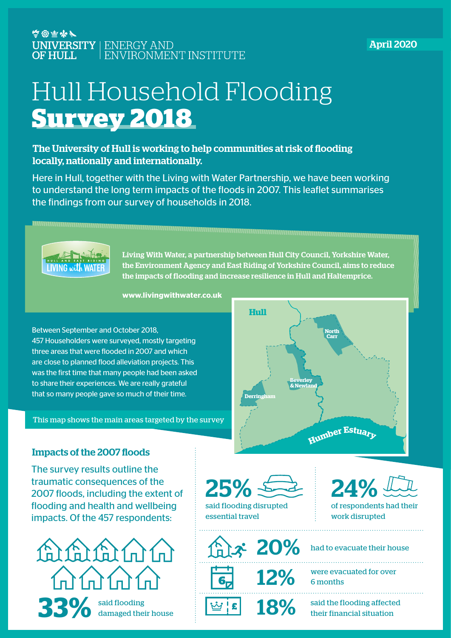### 空窗空水 UNIVERSITY | ENERGY AND<br>OF HULL | ENVIRONMENT INSTITUTE

### April 2020

# Hull Household Flooding **Survey 2018**

### The University of Hull is working to help communities at risk of flooding locally, nationally and internationally.

Here in Hull, together with the Living with Water Partnership, we have been working to understand the long term impacts of the floods in 2007. This leaflet summarises the findings from our survey of households in 2018.



Living With Water, a partnership between Hull City Council, Yorkshire Water, the Environment Agency and East Riding of Yorkshire Council, aims to reduce the impacts of flooding and increase resilience in Hull and Haltemprice.

**www.livingwithwater.co.uk**

Between September and October 2018, 457 Householders were surveyed, mostly targeting three areas that were flooded in 2007 and which are close to planned flood alleviation projects. This was the first time that many people had been asked to share their experiences. We are really grateful that so many people gave so much of their time.

This map shows the main areas targeted by the survey



#### Impacts of the 2007 floods

The survey results outline the traumatic consequences of the 2007 floods, including the extent of flooding and health and wellbeing impacts. Of the 457 respondents:





 $\hat{x}$  20%

12%

18%



of respondents had their work disrupted

had to evacuate their house

were evacuated for over 6 months

said the flooding affected their financial situation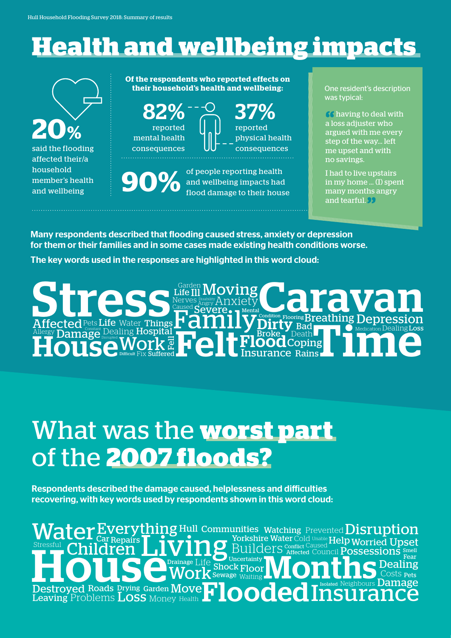# **Health and wellbeing impacts**

**20%** said the flooding affected their/a household member's health and wellbeing

**Of the respondents who reported effects on their household's health and wellbeing:**

reported mental health consequences reported physical health consequences  $82\%$   $^{--\circ}_{\circ}$  37%

**90%**  of people reporting health and wellbeing impacts had flood damage to their house One resident's description was typical:

66 having to deal with a loss adjuster who argued with me every step of the way... left me upset and with no savings.

I had to live upstairs in my home ... (I) spent many months angry and tearful.<sup>99</sup>

Many respondents described that flooding caused stress, anxiety or depression for them or their families and in some cases made existing health conditions worse.

The key words used in the responses are highlighted in this word cloud:

The Medication Dealing Loss **Family** House Deter Property of Real Friends Breathing S Disability Anxiety<br>Severe. – Mental Ill Suffered **Repairs** Let Insurance Rains Fell Pets Life Life Damage Dealing Hospital **Contains of the Stroke, Death Coping Contains Dealing**  $\mathrm{Affected}$  Pets Life Water Things  $\Gamma$  dllllly  $\mathrm{Dirly}$  Bad  $\Gamma$  . One medication Dealing Loss Moving Medication Condition Difficult Mental Flooring Caused Life Water Things  $\Gamma$  dillly Dirty Allergy Fix Garden Angry Broke Nerves Death Streeted Pets Life Water Things Hamilton Moving Breathing Depression Felt

## What was the **worst part**  of the **2007 floods?**

Respondents described the damage caused, helplessness and difficulties recovering, with key words used by respondents shown in this word cloud:

Roads Drying Garden **Move**<br>Dlems **LOSS** Money Health Yorkshire Water Cold Unable Help Worried Upset<br>Builders Conflict Caused Possessions Speed Car Shock Floor **Damage** Repairs Affected Fear  ${\bf Every thing}$  Hull Communities, Watching Prevented  ${\bf Disruption}$  $\overline{S}$ OS $\overline{S}$  Pets  $P$ roblems  $\overline{\text{Loss}}$  Money Health Drainage Life Neighbours Sewage  $_{\text{Waiting}}$  LV LV LLLLV COSts Pets Smell Uncertainty Isolated **Conflict UNCLUI Car Repairs** TVI TO **During Cold Unable Help** Drying Garden Leaving Destroyed Boads Drying Garden Moye **1.1** Dealing Flooded Council Insurance Living **Water Children Work Destroyed**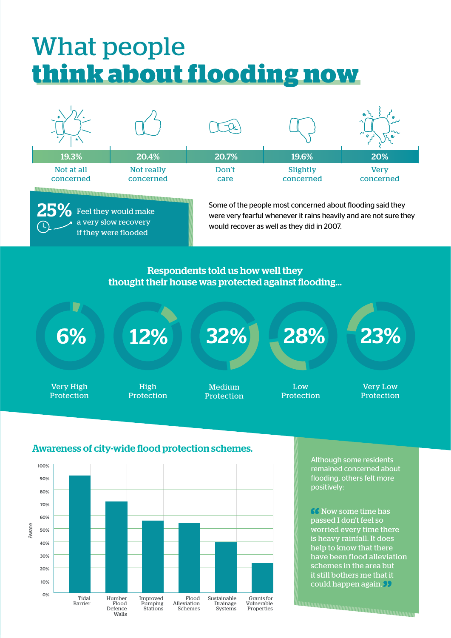# What people **think about flooding now**



 $25\%$  Feel they would make a very slow recovery if they were flooded

Some of the people most concerned about flooding said they were very fearful whenever it rains heavily and are not sure they would recover as well as they did in 2007.

### Respondents told us how well they thought their house was protected against flooding...

6%

Very High Protection

High Protection

Medium Protection

12% 32% 28% 23%

Low Protection

Very Low Protection

#### Awareness of city-wide flood protection schemes.



Although some residents remained concerned about flooding, others felt more positively:

**66 Now some time has** passed I don't feel so worried every time there is heavy rainfall. It does help to know that there have been flood alleviation schemes in the area but it still bothers me that it could happen again.